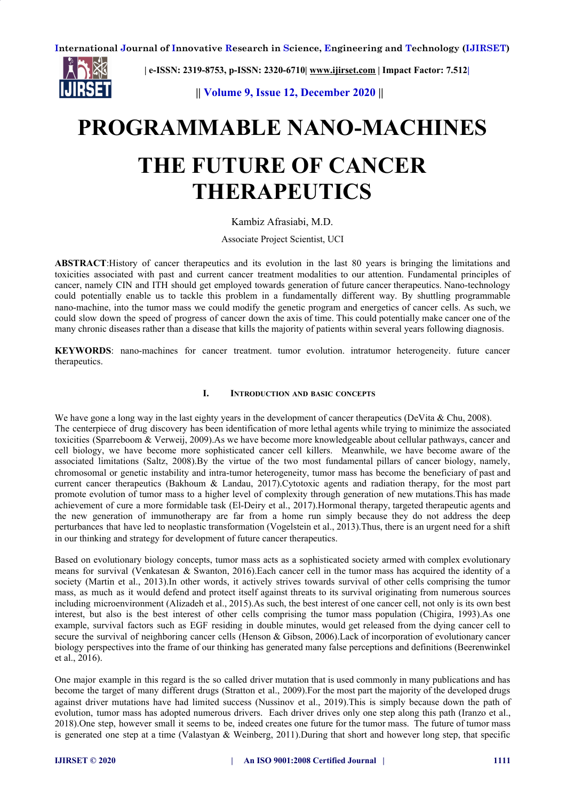

**| e-ISSN: 2319-8753, p-ISSN: 2320-6710| [www.ijirset.com](http://www.ijirset.com/) | Impact Factor: 7.512|**

 **|| Volume 9, Issue 12, December 2020 ||**

# **PROGRAMMABLE NANO-MACHINES THE FUTURE OF CANCER THERAPEUTICS**

# Kambiz Afrasiabi, M.D.

Associate Project Scientist, UCI

**ABSTRACT**:History of cancer therapeutics and its evolution in the last 80 years is bringing the limitations and toxicities associated with past and current cancer treatment modalities to our attention. Fundamental principles of cancer, namely CIN and ITH should get employed towards generation of future cancer therapeutics. Nano-technology could potentially enable us to tackle this problem in a fundamentally different way. By shuttling programmable nano-machine, into the tumor mass we could modify the genetic program and energetics of cancer cells. As such, we could slow down the speed of progress of cancer down the axis of time. This could potentially make cancer one of the many chronic diseases rather than a disease that kills the majority of patients within several years following diagnosis.

**KEYWORDS**: nano-machines for cancer treatment. tumor evolution. intratumor heterogeneity. future cancer therapeutics.

## **I. INTRODUCTION AND BASIC CONCEPTS**

We have gone a long way in the last eighty years in the development of cancer therapeutics (DeVita & Chu, 2008). The centerpiece of drug discovery has been identification of more lethal agents while trying to minimize the associated toxicities (Sparreboom & Verweij, 2009).As we have become more knowledgeable about cellular pathways, cancer and cell biology, we have become more sophisticated cancer cell killers. Meanwhile, we have become aware of the associated limitations (Saltz, 2008).By the virtue of the two most fundamental pillars of cancer biology, namely, chromosomal or genetic instability and intra-tumor heterogeneity, tumor mass has become the beneficiary of past and current cancer therapeutics (Bakhoum & Landau, 2017).Cytotoxic agents and radiation therapy, for the most part promote evolution of tumor mass to a higher level of complexity through generation of new mutations.This has made achievement of cure a more formidable task (El-Deiry et al., 2017).Hormonal therapy, targeted therapeutic agents and the new generation of immunotherapy are far from a home run simply because they do not address the deep perturbances that have led to neoplastic transformation (Vogelstein et al., 2013).Thus, there is an urgent need for a shift in our thinking and strategy for development of future cancer therapeutics.

Based on evolutionary biology concepts, tumor mass acts as a sophisticated society armed with complex evolutionary means for survival (Venkatesan & Swanton, 2016).Each cancer cell in the tumor mass has acquired the identity of a society (Martin et al., 2013).In other words, it actively strives towards survival of other cells comprising the tumor mass, as much as it would defend and protect itself against threats to its survival originating from numerous sources including microenvironment (Alizadeh et al., 2015).As such, the best interest of one cancer cell, not only is its own best interest, but also is the best interest of other cells comprising the tumor mass population (Chigira, 1993).As one example, survival factors such as EGF residing in double minutes, would get released from the dying cancer cell to secure the survival of neighboring cancer cells (Henson & Gibson, 2006). Lack of incorporation of evolutionary cancer biology perspectives into the frame of our thinking has generated many false perceptions and definitions (Beerenwinkel et al., 2016).

One major example in this regard is the so called driver mutation that is used commonly in many publications and has become the target of many different drugs (Stratton et al., 2009).For the most part the majority of the developed drugs against driver mutations have had limited success (Nussinov et al., 2019).This is simply because down the path of evolution, tumor mass has adopted numerous drivers. Each driver drives only one step along this path (Iranzo et al., 2018).One step, however small it seems to be, indeed creates one future for the tumor mass. The future of tumor mass is generated one step at a time (Valastyan & Weinberg, 2011). During that short and however long step, that specific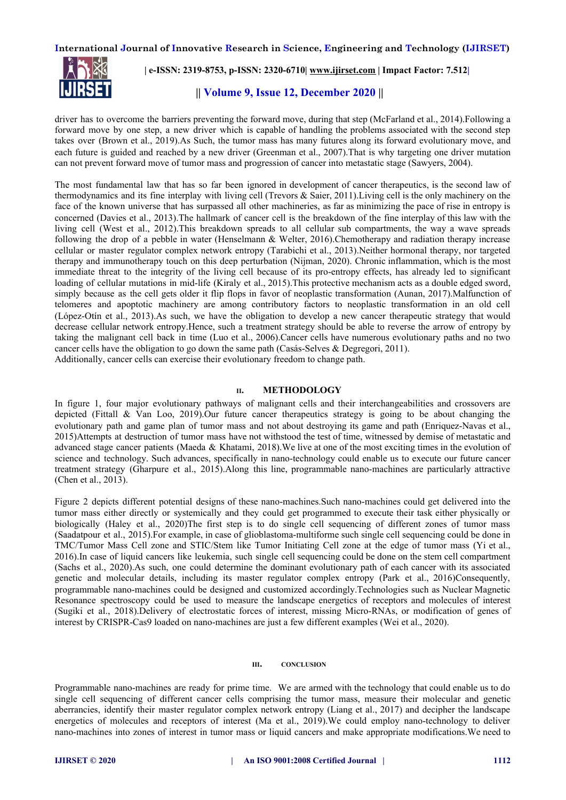

# **| e-ISSN: 2319-8753, p-ISSN: 2320-6710| [www.ijirset.com](http://www.ijirset.com/) | Impact Factor: 7.512|**

# **|| Volume 9, Issue 12, December 2020 ||**

driver has to overcome the barriers preventing the forward move, during that step (McFarland et al., 2014).Following a forward move by one step, a new driver which is capable of handling the problems associated with the second step takes over (Brown et al., 2019).As Such, the tumor mass has many futures along its forward evolutionary move, and each future is guided and reached by a new driver (Greenman et al., 2007).That is why targeting one driver mutation can not prevent forward move of tumor mass and progression of cancer into metastatic stage (Sawyers, 2004).

The most fundamental law that has so far been ignored in development of cancer therapeutics, is the second law of thermodynamics and its fine interplay with living cell (Trevors & Saier, 2011).Living cell is the only machinery on the face of the known universe that has surpassed all other machineries, as far as minimizing the pace of rise in entropy is concerned (Davies et al., 2013).The hallmark of cancer cell is the breakdown of the fine interplay of this law with the living cell (West et al., 2012).This breakdown spreads to all cellular sub compartments, the way a wave spreads following the drop of a pebble in water (Henselmann & Welter, 2016).Chemotherapy and radiation therapy increase cellular or master regulator complex network entropy (Tarabichi et al., 2013).Neither hormonal therapy, nor targeted therapy and immunotherapy touch on this deep perturbation (Nijman, 2020). Chronic inflammation, which is the most immediate threat to the integrity of the living cell because of its pro-entropy effects, has already led to significant loading of cellular mutations in mid-life (Kiraly et al., 2015).This protective mechanism acts as a double edged sword, simply because as the cell gets older it flip flops in favor of neoplastic transformation (Aunan, 2017). Malfunction of telomeres and apoptotic machinery are among contributory factors to neoplastic transformation in an old cell (López-Otín et al., 2013).As such, we have the obligation to develop a new cancer therapeutic strategy that would decrease cellular network entropy.Hence, such a treatment strategy should be able to reverse the arrow of entropy by taking the malignant cell back in time (Luo et al., 2006).Cancer cells have numerous evolutionary paths and no two cancer cells have the obligation to go down the same path (Casás-Selves & Degregori, 2011). Additionally, cancer cells can exercise their evolutionary freedom to change path.

#### **II. METHODOLOGY**

In figure 1, four major evolutionary pathways of malignant cells and their interchangeabilities and crossovers are depicted (Fittall & Van Loo, 2019).Our future cancer therapeutics strategy is going to be about changing the evolutionary path and game plan of tumor mass and not about destroying its game and path (Enriquez-Navas et al., 2015)Attempts at destruction of tumor mass have not withstood the test of time, witnessed by demise of metastatic and advanced stage cancer patients (Maeda & Khatami, 2018).We live at one of the most exciting times in the evolution of science and technology. Such advances, specifically in nano-technology could enable us to execute our future cancer treatment strategy (Gharpure et al., 2015).Along this line, programmable nano-machines are particularly attractive (Chen et al., 2013).

Figure 2 depicts different potential designs of these nano-machines.Such nano-machines could get delivered into the tumor mass either directly or systemically and they could get programmed to execute their task either physically or biologically (Haley et al., 2020)The first step is to do single cell sequencing of different zones of tumor mass (Saadatpour et al., 2015).For example, in case of glioblastoma-multiforme such single cell sequencing could be done in TMC/Tumor Mass Cell zone and STIC/Stem like Tumor Initiating Cell zone at the edge of tumor mass (Yi et al., 2016).In case of liquid cancers like leukemia, such single cell sequencing could be done on the stem cell compartment (Sachs et al., 2020).As such, one could determine the dominant evolutionary path of each cancer with its associated genetic and molecular details, including its master regulator complex entropy (Park et al., 2016)Consequently, programmable nano-machines could be designed and customized accordingly.Technologies such as Nuclear Magnetic Resonance spectroscopy could be used to measure the landscape energetics of receptors and molecules of interest (Sugiki et al., 2018).Delivery of electrostatic forces of interest, missing Micro-RNAs, or modification of genes of interest by CRISPR-Cas9 loaded on nano-machines are just a few different examples (Wei et al., 2020).

#### **III. CONCLUSION**

Programmable nano-machines are ready for prime time. We are armed with the technology that could enable us to do single cell sequencing of different cancer cells comprising the tumor mass, measure their molecular and genetic aberrancies, identify their master regulator complex network entropy (Liang et al., 2017) and decipher the landscape energetics of molecules and receptors of interest (Ma et al., 2019).We could employ nano-technology to deliver nano-machines into zones of interest in tumor mass or liquid cancers and make appropriate modifications.We need to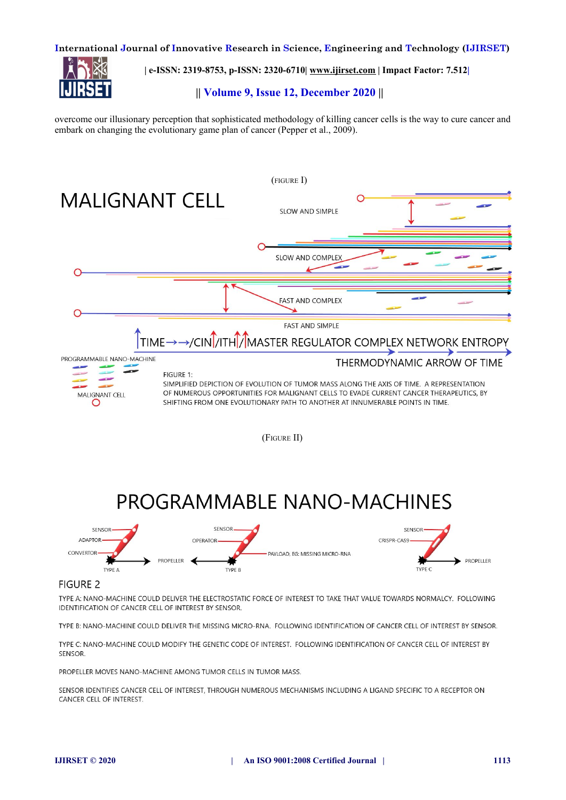

**| e-ISSN: 2319-8753, p-ISSN: 2320-6710| [www.ijirset.com](http://www.ijirset.com/) | Impact Factor: 7.512|**

# **|| Volume 9, Issue 12, December 2020 ||**

overcome our illusionary perception that sophisticated methodology of killing cancer cells is the way to cure cancer and embark on changing the evolutionary game plan of cancer (Pepper et al., 2009).



## **FIGURE 2**

TYPE A: NANO-MACHINE COULD DELIVER THE ELECTROSTATIC FORCE OF INTEREST TO TAKE THAT VALUE TOWARDS NORMALCY. FOLLOWING IDENTIFICATION OF CANCER CELL OF INTEREST BY SENSOR.

TYPE B: NANO-MACHINE COULD DELIVER THE MISSING MICRO-RNA. FOLLOWING IDENTIFICATION OF CANCER CELL OF INTEREST BY SENSOR.

TYPE C: NANO-MACHINE COULD MODIFY THE GENETIC CODE OF INTEREST. FOLLOWING IDENTIFICATION OF CANCER CELL OF INTEREST BY SENSOR.

PROPELLER MOVES NANO-MACHINE AMONG TUMOR CELLS IN TUMOR MASS.

SENSOR IDENTIFIES CANCER CELL OF INTEREST, THROUGH NUMEROUS MECHANISMS INCLUDING A LIGAND SPECIFIC TO A RECEPTOR ON CANCER CELL OF INTEREST.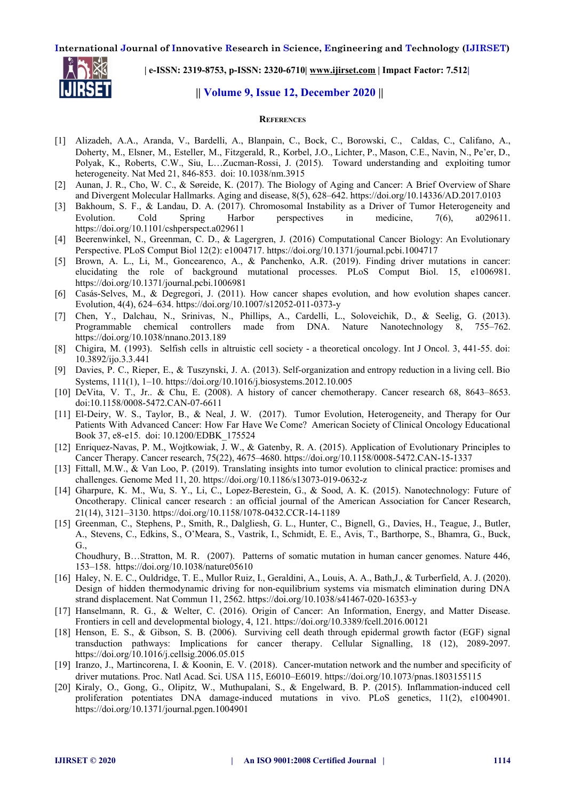

**| e-ISSN: 2319-8753, p-ISSN: 2320-6710| [www.ijirset.com](http://www.ijirset.com/) | Impact Factor: 7.512|**

# **|| Volume 9, Issue 12, December 2020 ||**

#### **REFERENCES**

- [1] Alizadeh, A.A., Aranda, V., Bardelli, A., Blanpain, C., Bock, C., Borowski, C., Caldas, C., Califano, A., Doherty, M., Elsner, M., Esteller, M., Fitzgerald, R., Korbel, J.O., Lichter, P., Mason, C.E., Navin, N., Pe'er, D., Polyak, K., Roberts, C.W., Siu, L…Zucman-Rossi, J. (2015). Toward understanding and exploiting tumor heterogeneity. Nat Med 21, 846-853. doi: 10.1038/nm.3915
- [2] Aunan, J. R., Cho, W. C., & Søreide, K. (2017). The Biology of Aging and Cancer: A Brief Overview of Share and Divergent Molecular Hallmarks. Aging and disease, 8(5), 628–642. https://doi.org/10.14336/AD.2017.0103
- [3] Bakhoum, S. F., & Landau, D. A. (2017). Chromosomal Instability as a Driver of Tumor Heterogeneity and Evolution. Cold Spring Harbor perspectives in medicine, 7(6), a029611. https://doi.org/10.1101/cshperspect.a029611
- [4] Beerenwinkel, N., Greenman, C. D., & Lagergren, J. (2016) Computational Cancer Biology: An Evolutionary Perspective. PLoS Comput Biol 12(2): e1004717. https://doi.org/10.1371/journal.pcbi.1004717
- [5] Brown, A. L., Li, M., Goncearenco, A., & Panchenko, A.R. (2019). Finding driver mutations in cancer: elucidating the role of background mutational processes. PLoS Comput Biol. 15, e1006981. https://doi.org/10.1371/journal.pcbi.1006981
- [6] Casás-Selves, M., & Degregori, J. (2011). How cancer shapes evolution, and how evolution shapes cancer. Evolution, 4(4), 624–634. https://doi.org/10.1007/s12052-011-0373-y
- [7] Chen, Y., Dalchau, N., Srinivas, N., Phillips, A., Cardelli, L., Soloveichik, D., & Seelig, G. (2013). Programmable chemical controllers made from DNA. Nature Nanotechnology 8, 755–762. https://doi.org/10.1038/nnano.2013.189
- [8] Chigira, M. (1993). Selfish cells in altruistic cell society a theoretical oncology. Int J Oncol. 3, 441-55. doi: 10.3892/ijo.3.3.441
- [9] Davies, P. C., Rieper, E., & Tuszynski, J. A. (2013). Self-organization and entropy reduction in a living cell. Bio Systems, 111(1), 1–10. https://doi.org/10.1016/j.biosystems.2012.10.005
- [10] DeVita, V. T., Jr.. & Chu, E. (2008). A history of cancer chemotherapy. Cancer research 68, 8643–8653. doi:10.1158/0008-5472.CAN-07-6611
- [11] El-Deiry, W. S., Taylor, B., & Neal, J. W. (2017). Tumor Evolution, Heterogeneity, and Therapy for Our Patients With Advanced Cancer: How Far Have We Come? American Society of Clinical Oncology Educational Book 37, e8-e15. doi: 10.1200/EDBK\_175524
- [12] Enriquez-Navas, P. M., Wojtkowiak, J. W., & Gatenby, R. A. (2015). Application of Evolutionary Principles to Cancer Therapy. Cancer research, 75(22), 4675–4680. https://doi.org/10.1158/0008-5472.CAN-15-1337
- [13] Fittall, M.W., & Van Loo, P. (2019). Translating insights into tumor evolution to clinical practice: promises and challenges. Genome Med 11, 20. https://doi.org/10.1186/s13073-019-0632-z
- [14] Gharpure, K. M., Wu, S. Y., Li, C., Lopez-Berestein, G., & Sood, A. K. (2015). Nanotechnology: Future of Oncotherapy. Clinical cancer research : an official journal of the American Association for Cancer Research, 21(14), 3121–3130. https://doi.org/10.1158/1078-0432.CCR-14-1189
- [15] Greenman, C., Stephens, P., Smith, R., Dalgliesh, G. L., Hunter, C., Bignell, G., Davies, H., Teague, J., Butler, A., Stevens, C., Edkins, S., O'Meara, S., Vastrik, I., Schmidt, E. E., Avis, T., Barthorpe, S., Bhamra, G., Buck, G.,

Choudhury, B…Stratton, M. R. (2007). Patterns of somatic mutation in human cancer genomes. Nature 446, 153–158. https://doi.org/10.1038/nature05610

- [16] Haley, N. E. C., Ouldridge, T. E., Mullor Ruiz, I., Geraldini, A., Louis, A. A., Bath,J., & Turberfield, A. J. (2020). Design of hidden thermodynamic driving for non-equilibrium systems via mismatch elimination during DNA strand displacement. Nat Commun 11, 2562. https://doi.org/10.1038/s41467-020-16353-y
- [17] Hanselmann, R. G., & Welter, C. (2016). Origin of Cancer: An Information, Energy, and Matter Disease. Frontiers in cell and developmental biology, 4, 121. https://doi.org/10.3389/fcell.2016.00121
- [18] Henson, E. S., & Gibson, S. B. (2006). Surviving cell death through epidermal growth factor (EGF) signal transduction pathways: Implications for cancer therapy. Cellular Signalling, 18 (12), 2089-2097. https://doi.org/10.1016/j.cellsig.2006.05.015
- [19] Iranzo, J., Martincorena, I. & Koonin, E. V. (2018). Cancer-mutation network and the number and specificity of driver mutations. Proc. Natl Acad. Sci. USA 115, E6010–E6019. https://doi.org/10.1073/pnas.1803155115
- [20] Kiraly, O., Gong, G., Olipitz, W., Muthupalani, S., & Engelward, B. P. (2015). Inflammation-induced cell proliferation potentiates DNA damage-induced mutations in vivo. PLoS genetics, 11(2), e1004901. https://doi.org/10.1371/journal.pgen.1004901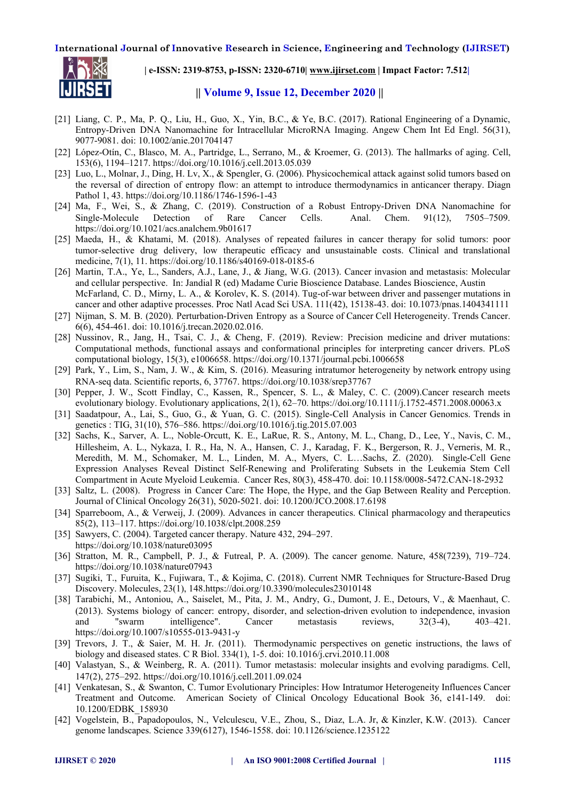

**| e-ISSN: 2319-8753, p-ISSN: 2320-6710| [www.ijirset.com](http://www.ijirset.com/) | Impact Factor: 7.512|**

## **|| Volume 9, Issue 12, December 2020 ||**

- [21] Liang, C. P., Ma, P. Q., Liu, H., Guo, X., Yin, B.C., & Ye, B.C. (2017). Rational Engineering of a Dynamic, Entropy-Driven DNA Nanomachine for Intracellular MicroRNA Imaging. Angew Chem Int Ed Engl. 56(31), 9077-9081. doi: 10.1002/anie.201704147
- [22] López-Otín, C., Blasco, M. A., Partridge, L., Serrano, M., & Kroemer, G. (2013). The hallmarks of aging. Cell, 153(6), 1194–1217. https://doi.org/10.1016/j.cell.2013.05.039
- [23] Luo, L., Molnar, J., Ding, H. Lv, X., & Spengler, G. (2006). Physicochemical attack against solid tumors based on the reversal of direction of entropy flow: an attempt to introduce thermodynamics in anticancer therapy. Diagn Pathol 1, 43. https://doi.org/10.1186/1746-1596-1-43
- [24] Ma, F., Wei, S., & Zhang, C. (2019). Construction of a Robust Entropy-Driven DNA Nanomachine for Single-Molecule Detection of Rare Cancer Cells. Anal. Chem. 91(12), 7505–7509. https://doi.org/10.1021/acs.analchem.9b01617
- [25] Maeda, H., & Khatami, M. (2018). Analyses of repeated failures in cancer therapy for solid tumors: poor tumor-selective drug delivery, low therapeutic efficacy and unsustainable costs. Clinical and translational medicine, 7(1), 11. https://doi.org/10.1186/s40169-018-0185-6
- [26] Martin, T.A., Ye, L., Sanders, A.J., Lane, J., & Jiang, W.G. (2013). Cancer invasion and metastasis: Molecular and cellular perspective. In: Jandial R (ed) Madame Curie Bioscience Database. Landes Bioscience, Austin McFarland, C. D., Mirny, L. A., & Korolev, K. S. (2014). Tug-of-war between driver and passenger mutations in cancer and other adaptive processes. Proc Natl Acad Sci USA. 111(42), 15138-43. doi: 10.1073/pnas.1404341111
- [27] Nijman, S. M. B. (2020). Perturbation-Driven Entropy as a Source of Cancer Cell Heterogeneity. Trends Cancer. 6(6), 454-461. doi: 10.1016/j.trecan.2020.02.016.
- [28] Nussinov, R., Jang, H., Tsai, C. J., & Cheng, F. (2019). Review: Precision medicine and driver mutations: Computational methods, functional assays and conformational principles for interpreting cancer drivers. PLoS computational biology, 15(3), e1006658. https://doi.org/10.1371/journal.pcbi.1006658
- [29] Park, Y., Lim, S., Nam, J. W., & Kim, S. (2016). Measuring intratumor heterogeneity by network entropy using RNA-seq data. Scientific reports, 6, 37767. https://doi.org/10.1038/srep37767
- [30] Pepper, J. W., Scott Findlay, C., Kassen, R., Spencer, S. L., & Maley, C. C. (2009).Cancer research meets evolutionary biology. Evolutionary applications, 2(1), 62–70. https://doi.org/10.1111/j.1752-4571.2008.00063.x
- [31] Saadatpour, A., Lai, S., Guo, G., & Yuan, G. C. (2015). Single-Cell Analysis in Cancer Genomics. Trends in genetics : TIG, 31(10), 576–586. https://doi.org/10.1016/j.tig.2015.07.003
- [32] Sachs, K., Sarver, A. L., Noble-Orcutt, K. E., LaRue, R. S., Antony, M. L., Chang, D., Lee, Y., Navis, C. M., Hillesheim, A. L., Nykaza, I. R., Ha, N. A., Hansen, C. J., Karadag, F. K., Bergerson, R. J., Verneris, M. R., Meredith, M. M., Schomaker, M. L., Linden, M. A., Myers, C. L…Sachs, Z. (2020). Single-Cell Gene Expression Analyses Reveal Distinct Self-Renewing and Proliferating Subsets in the Leukemia Stem Cell Compartment in Acute Myeloid Leukemia. Cancer Res, 80(3), 458-470. doi: 10.1158/0008-5472.CAN-18-2932
- [33] Saltz, L. (2008). Progress in Cancer Care: The Hope, the Hype, and the Gap Between Reality and Perception. Journal of Clinical Oncology 26(31), 5020-5021. doi: 10.1200/JCO.2008.17.6198
- [34] Sparreboom, A., & Verweij, J. (2009). Advances in cancer therapeutics. Clinical pharmacology and therapeutics 85(2), 113–117. https://doi.org/10.1038/clpt.2008.259
- [35] Sawyers, C. (2004). Targeted cancer therapy. Nature 432, 294–297. https://doi.org/10.1038/nature03095
- [36] Stratton, M. R., Campbell, P. J., & Futreal, P. A. (2009). The cancer genome. Nature, 458(7239), 719–724. https://doi.org/10.1038/nature07943
- [37] Sugiki, T., Furuita, K., Fujiwara, T., & Kojima, C. (2018). Current NMR Techniques for Structure-Based Drug Discovery. Molecules, 23(1), 148.https://doi.org/10.3390/molecules23010148
- [38] Tarabichi, M., Antoniou, A., Saiselet, M., Pita, J. M., Andry, G., Dumont, J. E., Detours, V., & Maenhaut, C. (2013). Systems biology of cancer: entropy, disorder, and selection-driven evolution to independence, invasion and "swarm intelligence". Cancer metastasis reviews, 32(3-4), 403–421. https://doi.org/10.1007/s10555-013-9431-y
- [39] Trevors, J. T., & Saier, M. H. Jr. (2011). Thermodynamic perspectives on genetic instructions, the laws of biology and diseased states. C R Biol. 334(1), 1-5. doi: 10.1016/j.crvi.2010.11.008
- [40] Valastyan, S., & Weinberg, R. A. (2011). Tumor metastasis: molecular insights and evolving paradigms. Cell, 147(2), 275–292. https://doi.org/10.1016/j.cell.2011.09.024
- [41] Venkatesan, S., & Swanton, C. Tumor Evolutionary Principles: How Intratumor Heterogeneity Influences Cancer Treatment and Outcome. American Society of Clinical Oncology Educational Book 36, e141-149. doi: 10.1200/EDBK\_158930
- [42] Vogelstein, B., Papadopoulos, N., Velculescu, V.E., Zhou, S., Diaz, L.A. Jr, & Kinzler, K.W. (2013). Cancer genome landscapes. Science 339(6127), 1546-1558. doi: 10.1126/science.1235122